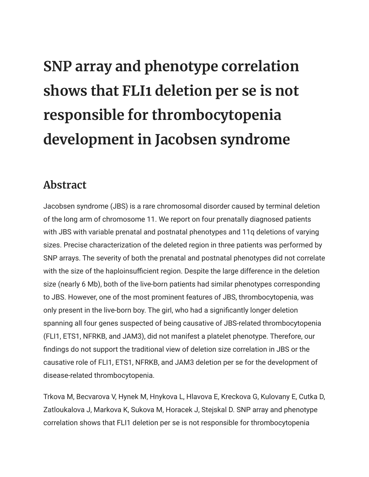## **SNP array and phenotype correlation shows that FLI1 deletion per se is not responsible for thrombocytopenia development in Jacobsen syndrome**

## **Abstract**

Jacobsen syndrome (JBS) is a rare chromosomal disorder caused by terminal deletion of the long arm of chromosome 11. We report on four prenatally diagnosed patients with JBS with variable prenatal and postnatal phenotypes and 11q deletions of varying sizes. Precise characterization of the deleted region in three patients was performed by SNP arrays. The severity of both the prenatal and postnatal phenotypes did not correlate with the size of the haploinsufficient region. Despite the large difference in the deletion size (nearly 6 Mb), both of the live-born patients had similar phenotypes corresponding to JBS. However, one of the most prominent features of JBS, thrombocytopenia, was only present in the live-born boy. The girl, who had a significantly longer deletion spanning all four genes suspected of being causative of JBS-related thrombocytopenia (FLI1, ETS1, NFRKB, and JAM3), did not manifest a platelet phenotype. Therefore, our findings do not support the traditional view of deletion size correlation in JBS or the causative role of FLI1, ETS1, NFRKB, and JAM3 deletion per se for the development of disease-related thrombocytopenia.

Trkova M, Becvarova V, Hynek M, Hnykova L, Hlavova E, Kreckova G, Kulovany E, Cutka D, Zatloukalova J, Markova K, Sukova M, Horacek J, Stejskal D. SNP array and phenotype correlation shows that FLI1 deletion per se is not responsible for thrombocytopenia